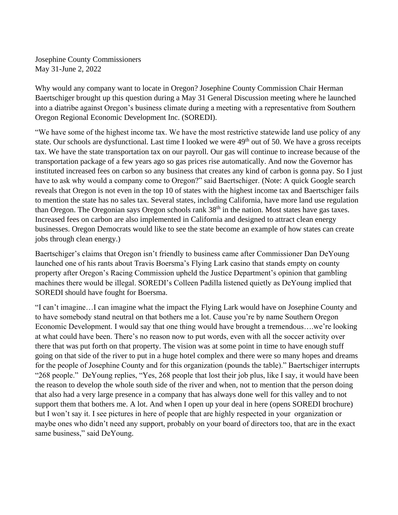Josephine County Commissioners May 31-June 2, 2022

Why would any company want to locate in Oregon? Josephine County Commission Chair Herman Baertschiger brought up this question during a May 31 General Discussion meeting where he launched into a diatribe against Oregon's business climate during a meeting with a representative from Southern Oregon Regional Economic Development Inc. (SOREDI).

"We have some of the highest income tax. We have the most restrictive statewide land use policy of any state. Our schools are dysfunctional. Last time I looked we were 49<sup>th</sup> out of 50. We have a gross receipts tax. We have the state transportation tax on our payroll. Our gas will continue to increase because of the transportation package of a few years ago so gas prices rise automatically. And now the Governor has instituted increased fees on carbon so any business that creates any kind of carbon is gonna pay. So I just have to ask why would a company come to Oregon?" said Baertschiger. (Note: A quick Google search reveals that Oregon is not even in the top 10 of states with the highest income tax and Baertschiger fails to mention the state has no sales tax. Several states, including California, have more land use regulation than Oregon. The Oregonian says Oregon schools rank 38<sup>th</sup> in the nation. Most states have gas taxes. Increased fees on carbon are also implemented in California and designed to attract clean energy businesses. Oregon Democrats would like to see the state become an example of how states can create jobs through clean energy.)

Baertschiger's claims that Oregon isn't friendly to business came after Commissioner Dan DeYoung launched one of his rants about Travis Boersma's Flying Lark casino that stands empty on county property after Oregon's Racing Commission upheld the Justice Department's opinion that gambling machines there would be illegal. SOREDI's Colleen Padilla listened quietly as DeYoung implied that SOREDI should have fought for Boersma.

"I can't imagine…I can imagine what the impact the Flying Lark would have on Josephine County and to have somebody stand neutral on that bothers me a lot. Cause you're by name Southern Oregon Economic Development. I would say that one thing would have brought a tremendous….we're looking at what could have been. There's no reason now to put words, even with all the soccer activity over there that was put forth on that property. The vision was at some point in time to have enough stuff going on that side of the river to put in a huge hotel complex and there were so many hopes and dreams for the people of Josephine County and for this organization (pounds the table)." Baertschiger interrupts "268 people." DeYoung replies, "Yes, 268 people that lost their job plus, like I say, it would have been the reason to develop the whole south side of the river and when, not to mention that the person doing that also had a very large presence in a company that has always done well for this valley and to not support them that bothers me. A lot. And when I open up your deal in here (opens SOREDI brochure) but I won't say it. I see pictures in here of people that are highly respected in your organization or maybe ones who didn't need any support, probably on your board of directors too, that are in the exact same business," said DeYoung.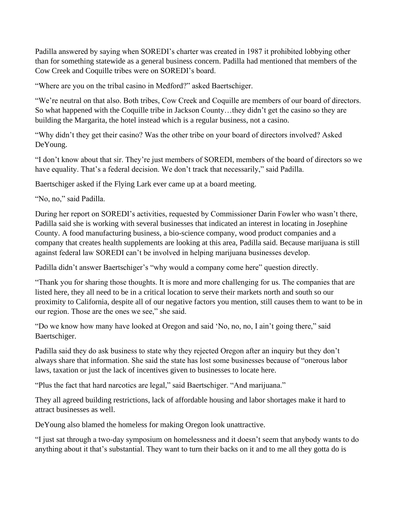Padilla answered by saying when SOREDI's charter was created in 1987 it prohibited lobbying other than for something statewide as a general business concern. Padilla had mentioned that members of the Cow Creek and Coquille tribes were on SOREDI's board.

"Where are you on the tribal casino in Medford?" asked Baertschiger.

"We're neutral on that also. Both tribes, Cow Creek and Coquille are members of our board of directors. So what happened with the Coquille tribe in Jackson County…they didn't get the casino so they are building the Margarita, the hotel instead which is a regular business, not a casino.

"Why didn't they get their casino? Was the other tribe on your board of directors involved? Asked DeYoung.

"I don't know about that sir. They're just members of SOREDI, members of the board of directors so we have equality. That's a federal decision. We don't track that necessarily," said Padilla.

Baertschiger asked if the Flying Lark ever came up at a board meeting.

"No, no," said Padilla.

During her report on SOREDI's activities, requested by Commissioner Darin Fowler who wasn't there, Padilla said she is working with several businesses that indicated an interest in locating in Josephine County. A food manufacturing business, a bio-science company, wood product companies and a company that creates health supplements are looking at this area, Padilla said. Because marijuana is still against federal law SOREDI can't be involved in helping marijuana businesses develop.

Padilla didn't answer Baertschiger's "why would a company come here" question directly.

"Thank you for sharing those thoughts. It is more and more challenging for us. The companies that are listed here, they all need to be in a critical location to serve their markets north and south so our proximity to California, despite all of our negative factors you mention, still causes them to want to be in our region. Those are the ones we see," she said.

"Do we know how many have looked at Oregon and said 'No, no, no, I ain't going there," said Baertschiger.

Padilla said they do ask business to state why they rejected Oregon after an inquiry but they don't always share that information. She said the state has lost some businesses because of "onerous labor laws, taxation or just the lack of incentives given to businesses to locate here.

"Plus the fact that hard narcotics are legal," said Baertschiger. "And marijuana."

They all agreed building restrictions, lack of affordable housing and labor shortages make it hard to attract businesses as well.

DeYoung also blamed the homeless for making Oregon look unattractive.

"I just sat through a two-day symposium on homelessness and it doesn't seem that anybody wants to do anything about it that's substantial. They want to turn their backs on it and to me all they gotta do is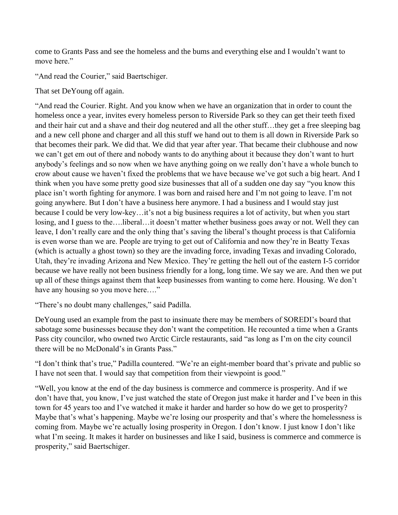come to Grants Pass and see the homeless and the bums and everything else and I wouldn't want to move here."

"And read the Courier," said Baertschiger.

That set DeYoung off again.

"And read the Courier. Right. And you know when we have an organization that in order to count the homeless once a year, invites every homeless person to Riverside Park so they can get their teeth fixed and their hair cut and a shave and their dog neutered and all the other stuff…they get a free sleeping bag and a new cell phone and charger and all this stuff we hand out to them is all down in Riverside Park so that becomes their park. We did that. We did that year after year. That became their clubhouse and now we can't get em out of there and nobody wants to do anything about it because they don't want to hurt anybody's feelings and so now when we have anything going on we really don't have a whole bunch to crow about cause we haven't fixed the problems that we have because we've got such a big heart. And I think when you have some pretty good size businesses that all of a sudden one day say "you know this place isn't worth fighting for anymore. I was born and raised here and I'm not going to leave. I'm not going anywhere. But I don't have a business here anymore. I had a business and I would stay just because I could be very low-key…it's not a big business requires a lot of activity, but when you start losing, and I guess to the….liberal…it doesn't matter whether business goes away or not. Well they can leave, I don't really care and the only thing that's saving the liberal's thought process is that California is even worse than we are. People are trying to get out of California and now they're in Beatty Texas (which is actually a ghost town) so they are the invading force, invading Texas and invading Colorado, Utah, they're invading Arizona and New Mexico. They're getting the hell out of the eastern I-5 corridor because we have really not been business friendly for a long, long time. We say we are. And then we put up all of these things against them that keep businesses from wanting to come here. Housing. We don't have any housing so you move here…."

"There's no doubt many challenges," said Padilla.

DeYoung used an example from the past to insinuate there may be members of SOREDI's board that sabotage some businesses because they don't want the competition. He recounted a time when a Grants Pass city councilor, who owned two Arctic Circle restaurants, said "as long as I'm on the city council there will be no McDonald's in Grants Pass."

"I don't think that's true," Padilla countered. "We're an eight-member board that's private and public so I have not seen that. I would say that competition from their viewpoint is good."

"Well, you know at the end of the day business is commerce and commerce is prosperity. And if we don't have that, you know, I've just watched the state of Oregon just make it harder and I've been in this town for 45 years too and I've watched it make it harder and harder so how do we get to prosperity? Maybe that's what's happening. Maybe we're losing our prosperity and that's where the homelessness is coming from. Maybe we're actually losing prosperity in Oregon. I don't know. I just know I don't like what I'm seeing. It makes it harder on businesses and like I said, business is commerce and commerce is prosperity," said Baertschiger.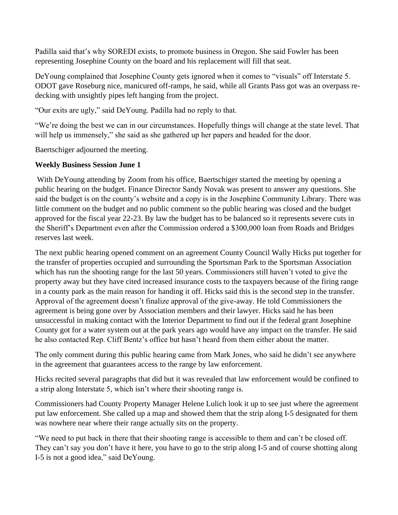Padilla said that's why SOREDI exists, to promote business in Oregon. She said Fowler has been representing Josephine County on the board and his replacement will fill that seat.

DeYoung complained that Josephine County gets ignored when it comes to "visuals" off Interstate 5. ODOT gave Roseburg nice, manicured off-ramps, he said, while all Grants Pass got was an overpass redecking with unsightly pipes left hanging from the project.

"Our exits are ugly," said DeYoung. Padilla had no reply to that.

"We're doing the best we can in our circumstances. Hopefully things will change at the state level. That will help us immensely," she said as she gathered up her papers and headed for the door.

Baertschiger adjourned the meeting.

## **Weekly Business Session June 1**

With DeYoung attending by Zoom from his office, Baertschiger started the meeting by opening a public hearing on the budget. Finance Director Sandy Novak was present to answer any questions. She said the budget is on the county's website and a copy is in the Josephine Community Library. There was little comment on the budget and no public comment so the public hearing was closed and the budget approved for the fiscal year 22-23. By law the budget has to be balanced so it represents severe cuts in the Sheriff's Department even after the Commission ordered a \$300,000 loan from Roads and Bridges reserves last week.

The next public hearing opened comment on an agreement County Council Wally Hicks put together for the transfer of properties occupied and surrounding the Sportsman Park to the Sportsman Association which has run the shooting range for the last 50 years. Commissioners still haven't voted to give the property away but they have cited increased insurance costs to the taxpayers because of the firing range in a county park as the main reason for handing it off. Hicks said this is the second step in the transfer. Approval of the agreement doesn't finalize approval of the give-away. He told Commissioners the agreement is being gone over by Association members and their lawyer. Hicks said he has been unsuccessful in making contact with the Interior Department to find out if the federal grant Josephine County got for a water system out at the park years ago would have any impact on the transfer. He said he also contacted Rep. Cliff Bentz's office but hasn't heard from them either about the matter.

The only comment during this public hearing came from Mark Jones, who said he didn't see anywhere in the agreement that guarantees access to the range by law enforcement.

Hicks recited several paragraphs that did but it was revealed that law enforcement would be confined to a strip along Interstate 5, which isn't where their shooting range is.

Commissioners had County Property Manager Helene Lulich look it up to see just where the agreement put law enforcement. She called up a map and showed them that the strip along I-5 designated for them was nowhere near where their range actually sits on the property.

"We need to put back in there that their shooting range is accessible to them and can't be closed off. They can't say you don't have it here, you have to go to the strip along I-5 and of course shotting along I-5 is not a good idea," said DeYoung.